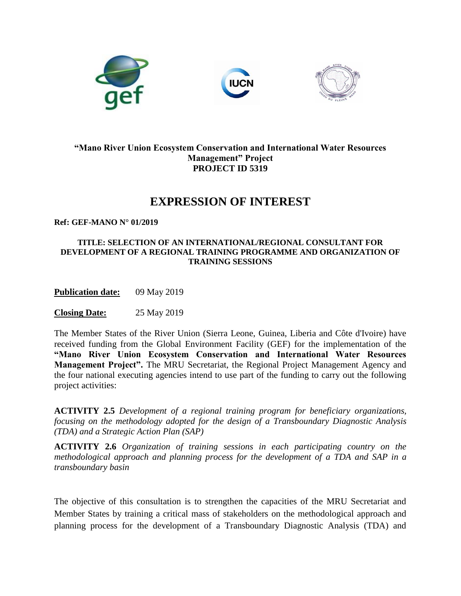

## **"Mano River Union Ecosystem Conservation and International Water Resources Management" Project PROJECT ID 5319**

## **EXPRESSION OF INTEREST**

**Ref: GEF-MANO N° 01/2019**

## **TITLE: SELECTION OF AN INTERNATIONAL/REGIONAL CONSULTANT FOR DEVELOPMENT OF A REGIONAL TRAINING PROGRAMME AND ORGANIZATION OF TRAINING SESSIONS**

**Publication date:** 09 May 2019

**Closing Date:** 25 May 2019

The Member States of the River Union (Sierra Leone, Guinea, Liberia and Côte d'Ivoire) have received funding from the Global Environment Facility (GEF) for the implementation of the **"Mano River Union Ecosystem Conservation and International Water Resources Management Project".** The MRU Secretariat, the Regional Project Management Agency and the four national executing agencies intend to use part of the funding to carry out the following project activities:

**ACTIVITY 2.5** *Development of a regional training program for beneficiary organizations, focusing on the methodology adopted for the design of a Transboundary Diagnostic Analysis (TDA) and a Strategic Action Plan (SAP)*

**ACTIVITY 2.6** *Organization of training sessions in each participating country on the methodological approach and planning process for the development of a TDA and SAP in a transboundary basin*

The objective of this consultation is to strengthen the capacities of the MRU Secretariat and Member States by training a critical mass of stakeholders on the methodological approach and planning process for the development of a Transboundary Diagnostic Analysis (TDA) and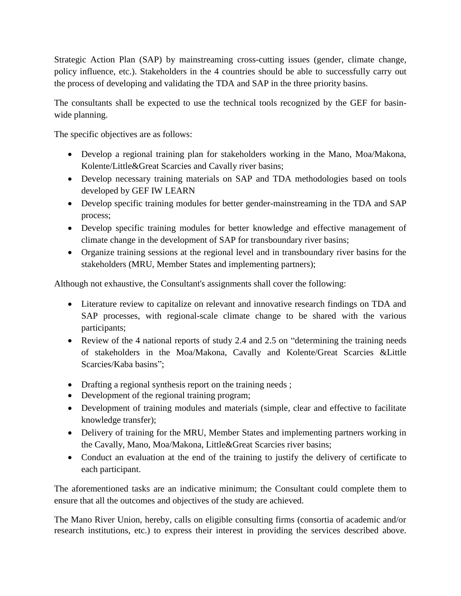Strategic Action Plan (SAP) by mainstreaming cross-cutting issues (gender, climate change, policy influence, etc.). Stakeholders in the 4 countries should be able to successfully carry out the process of developing and validating the TDA and SAP in the three priority basins.

The consultants shall be expected to use the technical tools recognized by the GEF for basinwide planning.

The specific objectives are as follows:

- Develop a regional training plan for stakeholders working in the Mano, Moa/Makona, Kolente/Little&Great Scarcies and Cavally river basins;
- Develop necessary training materials on SAP and TDA methodologies based on tools developed by GEF IW LEARN
- Develop specific training modules for better gender-mainstreaming in the TDA and SAP process;
- Develop specific training modules for better knowledge and effective management of climate change in the development of SAP for transboundary river basins;
- Organize training sessions at the regional level and in transboundary river basins for the stakeholders (MRU, Member States and implementing partners);

Although not exhaustive, the Consultant's assignments shall cover the following:

- Literature review to capitalize on relevant and innovative research findings on TDA and SAP processes, with regional-scale climate change to be shared with the various participants;
- Review of the 4 national reports of study 2.4 and 2.5 on "determining the training needs" of stakeholders in the Moa/Makona, Cavally and Kolente/Great Scarcies &Little Scarcies/Kaba basins";
- Drafting a regional synthesis report on the training needs;
- Development of the regional training program;
- Development of training modules and materials (simple, clear and effective to facilitate knowledge transfer);
- Delivery of training for the MRU, Member States and implementing partners working in the Cavally, Mano, Moa/Makona, Little&Great Scarcies river basins;
- Conduct an evaluation at the end of the training to justify the delivery of certificate to each participant.

The aforementioned tasks are an indicative minimum; the Consultant could complete them to ensure that all the outcomes and objectives of the study are achieved.

The Mano River Union, hereby, calls on eligible consulting firms (consortia of academic and/or research institutions, etc.) to express their interest in providing the services described above.